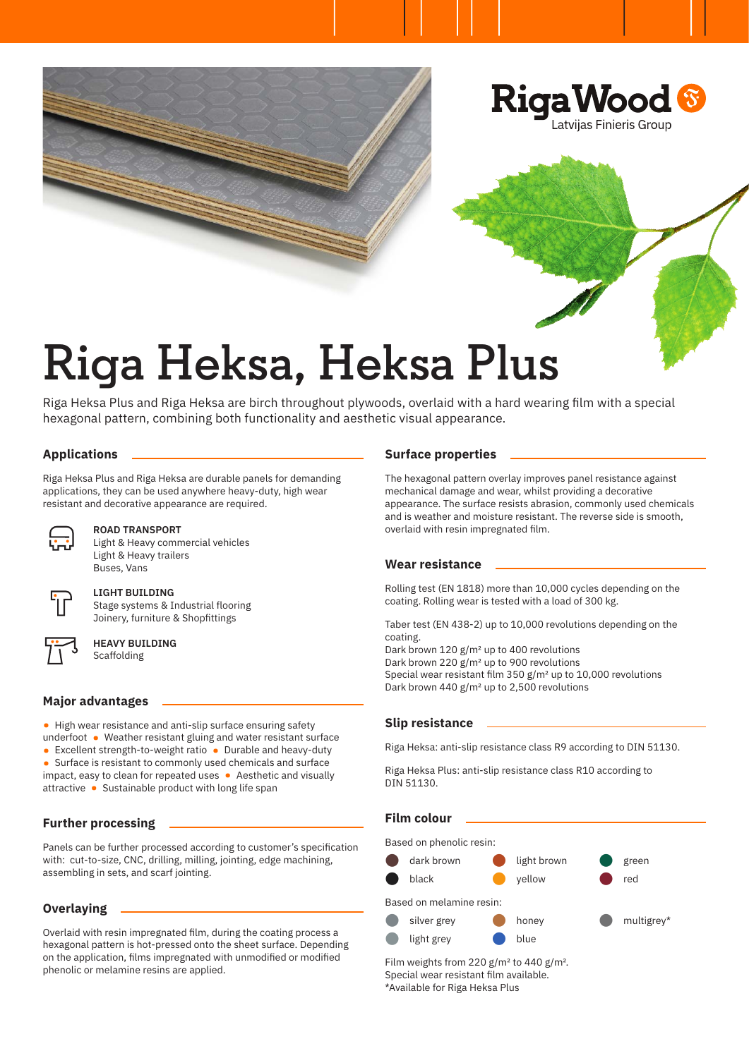

# **Riga Heksa, Heksa Plus**

Riga Heksa Plus and Riga Heksa are birch throughout plywoods, overlaid with a hard wearing film with a special hexagonal pattern, combining both functionality and aesthetic visual appearance.

# **Applications**

Riga Heksa Plus and Riga Heksa are durable panels for demanding applications, they can be used anywhere heavy-duty, high wear resistant and decorative appearance are required.



#### **ROAD TRANSPORT**

Light & Heavy commercial vehicles Light & Heavy trailers Buses, Vans



# **LIGHT BUILDING**

Stage systems & Industrial flooring Joinery, furniture & Shopfittings



#### **HEAVY BUILDING** Scaffolding

**Major advantages**

- High wear resistance and anti-slip surface ensuring safety
- underfoot Weather resistant gluing and water resistant surface
- Excellent strength-to-weight ratio Durable and heavy-duty
- Surface is resistant to commonly used chemicals and surface impact, easy to clean for repeated uses • Aesthetic and visually attractive • Sustainable product with long life span

# **Further processing**

Panels can be further processed according to customer's specification with: cut-to-size, CNC, drilling, milling, jointing, edge machining, assembling in sets, and scarf jointing.

# **Overlaying**

Overlaid with resin impregnated film, during the coating process a hexagonal pattern is hot-pressed onto the sheet surface. Depending on the application, films impregnated with unmodified or modified phenolic or melamine resins are applied.

#### **Surface properties**

The hexagonal pattern overlay improves panel resistance against mechanical damage and wear, whilst providing a decorative appearance. The surface resists abrasion, commonly used chemicals and is weather and moisture resistant. The reverse side is smooth, overlaid with resin impregnated film.

#### **Wear resistance**

Rolling test (EN 1818) more than 10,000 cycles depending on the coating. Rolling wear is tested with a load of 300 kg.

Taber test (EN 438-2) up to 10,000 revolutions depending on the coating.

Dark brown 120 g/m2 up to 400 revolutions Dark brown 220 g/m2 up to 900 revolutions Special wear resistant film 350 g/m2 up to 10,000 revolutions Dark brown 440 g/m<sup>2</sup> up to 2,500 revolutions

# **Slip resistance**

Riga Heksa: anti-slip resistance class R9 according to DIN 51130.

Riga Heksa Plus: anti-slip resistance class R10 according to DIN 51130.

# **Film colour**

Based on phenolic resin:



Film weights from 220  $g/m^2$  to 440  $g/m^2$ . Special wear resistant film available. \*Available for Riga Heksa Plus